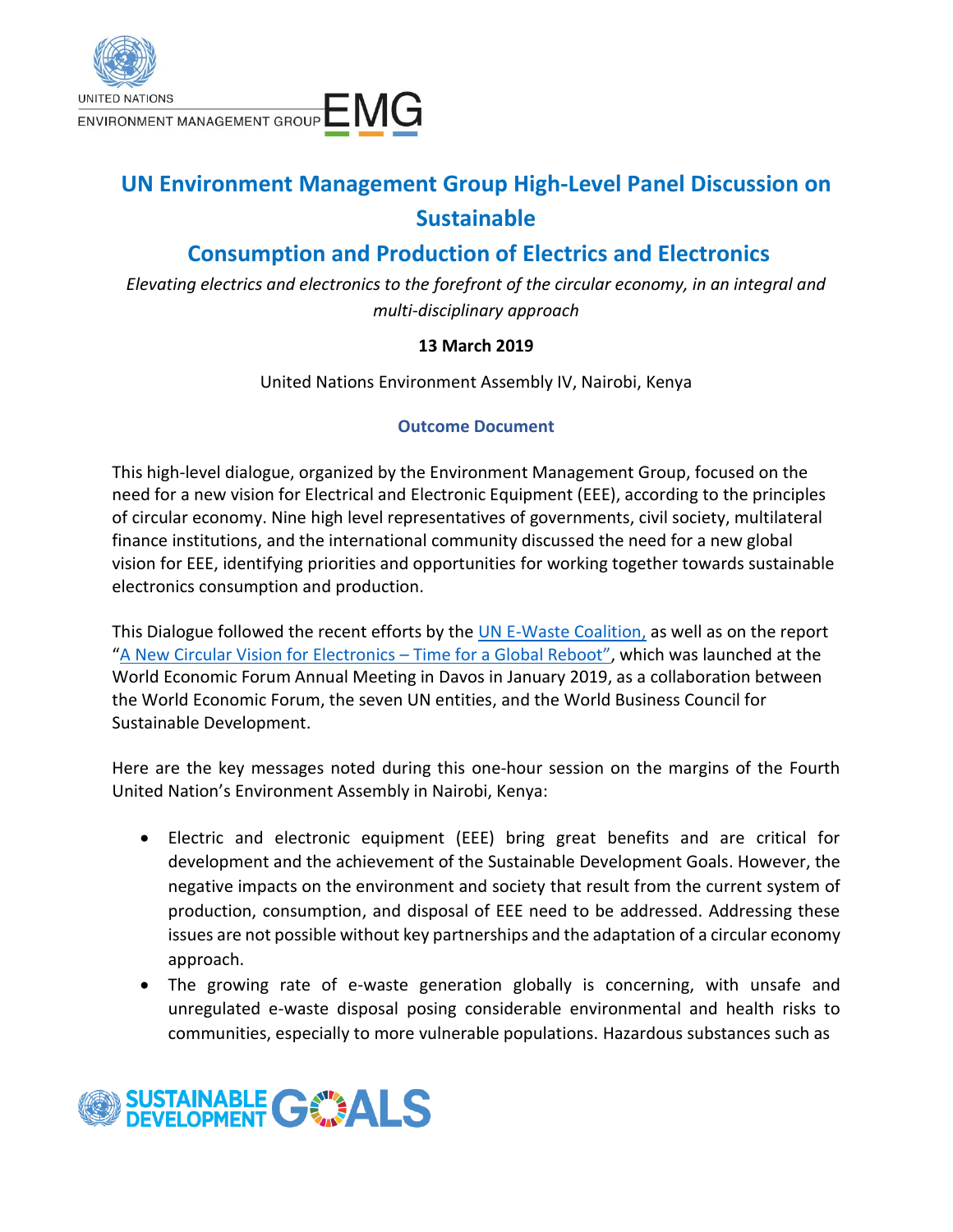

## **UN Environment Management Group High-Level Panel Discussion on Sustainable**

## **Consumption and Production of Electrics and Electronics**

*Elevating electrics and electronics to the forefront of the circular economy, in an integral and multi-disciplinary approach*

## **13 March 2019**

United Nations Environment Assembly IV, Nairobi, Kenya

## **Outcome Document**

This high-level dialogue, organized by the Environment Management Group, focused on the need for a new vision for Electrical and Electronic Equipment (EEE), according to the principles of circular economy. Nine high level representatives of governments, civil society, multilateral finance institutions, and the international community discussed the need for a new global vision for EEE, identifying priorities and opportunities for working together towards sustainable electronics consumption and production.

This Dialogue followed the recent efforts by the [UN E-Waste Coalition,](https://unemg.org/our-work/emerging-issues/innter-agency-issue-management-group-on-tackling-e-waste/) as well as on the report "[A New Circular Vision for Electronics](http://www3.weforum.org/docs/WEF_A_New_Circular_Vision_for_Electronics.pdf) – Time for a Global Reboot", which was launched at the World Economic Forum Annual Meeting in Davos in January 2019, as a collaboration between the World Economic Forum, the seven UN entities, and the World Business Council for Sustainable Development.

Here are the key messages noted during this one-hour session on the margins of the Fourth United Nation's Environment Assembly in Nairobi, Kenya:

- Electric and electronic equipment (EEE) bring great benefits and are critical for development and the achievement of the Sustainable Development Goals. However, the negative impacts on the environment and society that result from the current system of production, consumption, and disposal of EEE need to be addressed. Addressing these issues are not possible without key partnerships and the adaptation of a circular economy approach.
- The growing rate of e-waste generation globally is concerning, with unsafe and unregulated e-waste disposal posing considerable environmental and health risks to communities, especially to more vulnerable populations. Hazardous substances such as

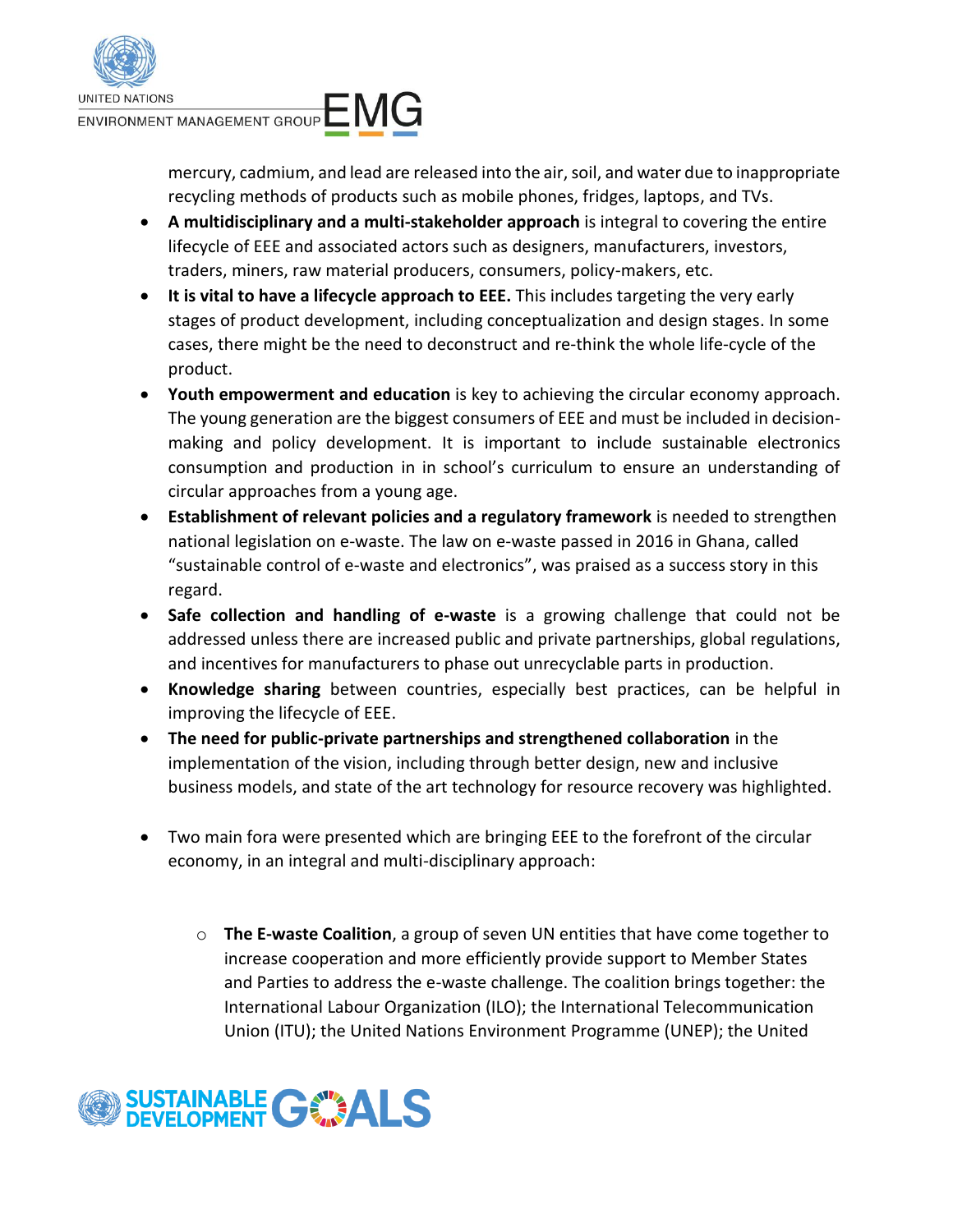

mercury, cadmium, and lead are released into the air, soil, and water due to inappropriate recycling methods of products such as mobile phones, fridges, laptops, and TVs.

- **A multidisciplinary and a multi-stakeholder approach** is integral to covering the entire lifecycle of EEE and associated actors such as designers, manufacturers, investors, traders, miners, raw material producers, consumers, policy-makers, etc.
- **It is vital to have a lifecycle approach to EEE.** This includes targeting the very early stages of product development, including conceptualization and design stages. In some cases, there might be the need to deconstruct and re-think the whole life-cycle of the product.
- **Youth empowerment and education** is key to achieving the circular economy approach. The young generation are the biggest consumers of EEE and must be included in decisionmaking and policy development. It is important to include sustainable electronics consumption and production in in school's curriculum to ensure an understanding of circular approaches from a young age.
- **Establishment of relevant policies and a regulatory framework** is needed to strengthen national legislation on e-waste. The law on e-waste passed in 2016 in Ghana, called "sustainable control of e-waste and electronics", was praised as a success story in this regard.
- **Safe collection and handling of e-waste** is a growing challenge that could not be addressed unless there are increased public and private partnerships, global regulations, and incentives for manufacturers to phase out unrecyclable parts in production.
- **Knowledge sharing** between countries, especially best practices, can be helpful in improving the lifecycle of EEE.
- **The need for public-private partnerships and strengthened collaboration** in the implementation of the vision, including through better design, new and inclusive business models, and state of the art technology for resource recovery was highlighted.
- Two main fora were presented which are bringing EEE to the forefront of the circular economy, in an integral and multi-disciplinary approach:
	- o **The E-waste Coalition**, a group of seven UN entities that have come together to increase cooperation and more efficiently provide support to Member States and Parties to address the e-waste challenge. The coalition brings together: the International Labour Organization (ILO); the International Telecommunication Union (ITU); the United Nations Environment Programme (UNEP); the United